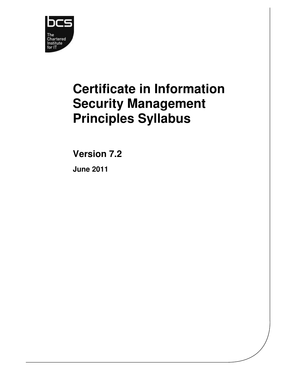

# **Certificate in Information Security Management Principles Syllabus**

**Version 7.2** 

**June 2011**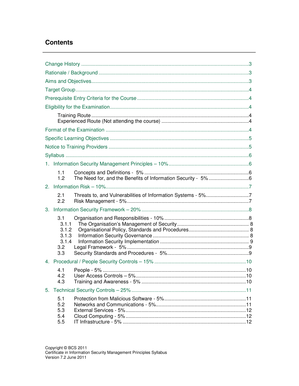# **Contents**

| 1.1<br>1.2                                            |                                                              |  |
|-------------------------------------------------------|--------------------------------------------------------------|--|
|                                                       |                                                              |  |
| 2.1<br>2.2                                            | Threats to, and Vulnerabilities of Information Systems - 5%7 |  |
|                                                       |                                                              |  |
| 3.1<br>3.1.1<br>3.1.2<br>3.1.3<br>3.1.4<br>3.2<br>3.3 |                                                              |  |
|                                                       |                                                              |  |
| 4.1<br>4.2<br>4.3                                     |                                                              |  |
|                                                       |                                                              |  |
| 5.1<br>5.2<br>5.3<br>5.4<br>5.5                       |                                                              |  |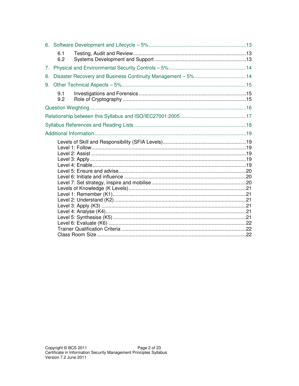|    | 6.1<br>6.2 |                                                             |  |
|----|------------|-------------------------------------------------------------|--|
| 7. |            |                                                             |  |
| 8. |            | Disaster Recovery and Business Continuity Management - 5%14 |  |
| 9. |            |                                                             |  |
|    | 9.1<br>9.2 |                                                             |  |
|    |            |                                                             |  |
|    |            |                                                             |  |
|    |            |                                                             |  |
|    |            |                                                             |  |
|    |            |                                                             |  |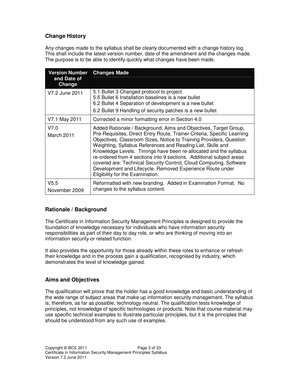# **Change History**

Any changes made to the syllabus shall be clearly documented with a change history log. This shall include the latest version number, date of the amendment and the changes made. The purpose is to be able to identify quickly what changes have been made.

| <b>Version Number</b><br>and Date of<br>Change | <b>Changes Made</b>                                                                                                                                                                                                                                                                                                                                                                                                                                                                                                                                                                                   |
|------------------------------------------------|-------------------------------------------------------------------------------------------------------------------------------------------------------------------------------------------------------------------------------------------------------------------------------------------------------------------------------------------------------------------------------------------------------------------------------------------------------------------------------------------------------------------------------------------------------------------------------------------------------|
| V7.2 June 2011                                 | 5.1 Bullet 3 Changed protocol to project.<br>5.5 Bullet 6 Installation baselines is a new bullet<br>6.2 Bullet 4 Separation of development is a new bullet<br>6.2 Bullet 9 Handling of security patches is a new bullet                                                                                                                                                                                                                                                                                                                                                                               |
| V7.1 May 2011                                  | Corrected a minor formatting error in Section 4.0                                                                                                                                                                                                                                                                                                                                                                                                                                                                                                                                                     |
| V7.0<br>March 2011                             | Added Rationale / Background, Aims and Objectives, Target Group,<br>Pre-Requisites, Direct Entry Route, Trainer Criteria, Specific Learning<br>Objectives, Classroom Sizes, Notice to Training Providers, Question<br>Weighting, Syllabus References and Reading List, Skills and<br>Knowledge Levels. Timings have been re-allocated and the syllabus<br>re-ordered from 4 sections into 9 sections. Additional subject areas<br>covered are: Technical Security Control, Cloud Computing, Software<br>Development and Lifecycle. Removed Experience Route under<br>Eligibility for the Examination. |
| V5.5<br>November 2009                          | Reformatted with new branding. Added in Examination Format. No<br>changes to the syllabus content.                                                                                                                                                                                                                                                                                                                                                                                                                                                                                                    |

# **Rationale / Background**

The Certificate in Information Security Management Principles is designed to provide the foundation of knowledge necessary for individuals who have information security responsibilities as part of their day to day role, or who are thinking of moving into an information security or related function.

It also provides the opportunity for those already within these roles to enhance or refresh their knowledge and in the process gain a qualification, recognised by industry, which demonstrates the level of knowledge gained.

# **Aims and Objectives**

The qualification will prove that the holder has a good knowledge and basic understanding of the wide range of subject areas that make up information security management. The syllabus is, therefore, as far as possible, technology neutral. The qualification tests knowledge of principles, not knowledge of specific technologies or products. Note that course material may use specific technical examples to illustrate particular principles, but it is the principles that should be understood from any such use of examples.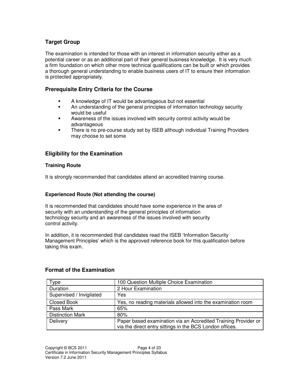# **Target Group**

The examination is intended for those with an interest in information security either as a potential career or as an additional part of their general business knowledge. It is very much a firm foundation on which other more technical qualifications can be built or which provides a thorough general understanding to enable business users of IT to ensure their information is protected appropriately.

# **Prerequisite Entry Criteria for the Course**

- A knowledge of IT would be advantageous but not essential
- An understanding of the general principles of information technology security would be useful
- Awareness of the issues involved with security control activity would be advantageous
- There is no pre-course study set by ISEB although individual Training Providers may choose to set some

# **Eligibility for the Examination**

# **Training Route**

It is strongly recommended that candidates attend an accredited training course.

# **Experienced Route (Not attending the course)**

It is recommended that candidates should have some experience in the area of security with an understanding of the general principles of information technology security and an awareness of the issues involved with security control activity.

In addition, it is recommended that candidates read the ISEB 'Information Security Management Principles' which is the approved reference book for this qualification before taking this exam.

| ype                      | 100 Question Multiple Choice Examination                                                                                   |
|--------------------------|----------------------------------------------------------------------------------------------------------------------------|
| Duration                 | 2 Hour Examination                                                                                                         |
| Supervised / Invigilated | Yes                                                                                                                        |
| <b>Closed Book</b>       | Yes, no reading materials allowed into the examination room                                                                |
| Pass Mark                | 65%                                                                                                                        |
| <b>Distinction Mark</b>  | 80%                                                                                                                        |
| Delivery                 | Paper based examination via an Accredited Training Provider or<br>via the direct entry sittings in the BCS London offices. |

# **Format of the Examination**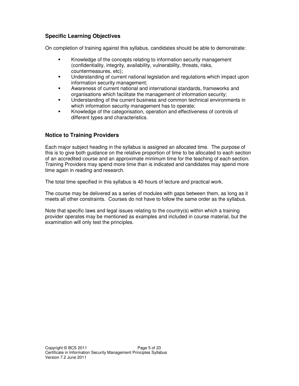# **Specific Learning Objectives**

On completion of training against this syllabus, candidates should be able to demonstrate:

- Knowledge of the concepts relating to information security management (confidentiality, integrity, availability, vulnerability, threats, risks, countermeasures, etc);
- Understanding of current national legislation and regulations which impact upon information security management;
- Awareness of current national and international standards, frameworks and organisations which facilitate the management of information security;
- Understanding of the current business and common technical environments in which information security management has to operate;
- Knowledge of the categorisation, operation and effectiveness of controls of different types and characteristics.

# **Notice to Training Providers**

Each major subject heading in the syllabus is assigned an allocated time. The purpose of this is to give both guidance on the relative proportion of time to be allocated to each section of an accredited course and an approximate minimum time for the teaching of each section. Training Providers may spend more time than is indicated and candidates may spend more time again in reading and research.

The total time specified in this syllabus is 40 hours of lecture and practical work.

The course may be delivered as a series of modules with gaps between them, as long as it meets all other constraints. Courses do not have to follow the same order as the syllabus.

Note that specific laws and legal issues relating to the country(s) within which a training provider operates may be mentioned as examples and included in course material, but the examination will only test the principles.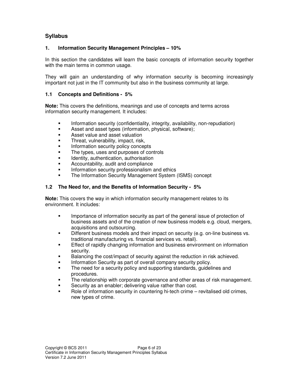# **Syllabus**

# **1. Information Security Management Principles – 10%**

In this section the candidates will learn the basic concepts of information security together with the main terms in common usage.

They will gain an understanding of why information security is becoming increasingly important not just in the IT community but also in the business community at large.

# **1.1 Concepts and Definitions - 5%**

**Note:** This covers the definitions, meanings and use of concepts and terms across information security management. It includes:

- Information security (confidentiality, integrity, availability, non-repudiation)
- Asset and asset types (information, physical, software);
- Asset value and asset valuation
- Threat, vulnerability, impact, risk,
- Information security policy concepts
- The types, uses and purposes of controls
- Identity, authentication, authorisation
- Accountability, audit and compliance
- Information security professionalism and ethics
- The Information Security Management System (ISMS) concept

# **1.2 The Need for, and the Benefits of Information Security - 5%**

**Note:** This covers the way in which information security management relates to its environment. It includes:

- Importance of information security as part of the general issue of protection of business assets and of the creation of new business models e.g. cloud, mergers, acquisitions and outsourcing.
- Different business models and their impact on security (e.g. on-line business vs. traditional manufacturing vs. financial services vs. retail).
- Effect of rapidly changing information and business environment on information security.
- Balancing the cost/impact of security against the reduction in risk achieved.
- Information Security as part of overall company security policy.
- The need for a security policy and supporting standards, guidelines and procedures.
- The relationship with corporate governance and other areas of risk management.
- Security as an enabler; delivering value rather than cost.
- Role of information security in countering hi-tech crime revitalised old crimes, new types of crime.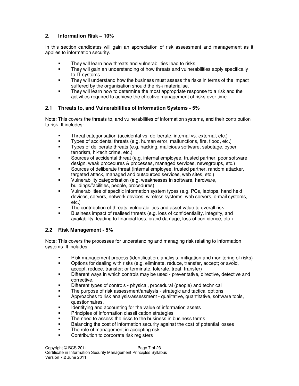# **2. Information Risk – 10%**

In this section candidates will gain an appreciation of risk assessment and management as it applies to information security.

- They will learn how threats and vulnerabilities lead to risks.
- They will gain an understanding of how threats and vulnerabilities apply specifically to IT systems.
- They will understand how the business must assess the risks in terms of the impact suffered by the organisation should the risk materialise.
- They will learn how to determine the most appropriate response to a risk and the activities required to achieve the effective management of risks over time.

# **2.1 Threats to, and Vulnerabilities of Information Systems - 5%**

Note: This covers the threats to, and vulnerabilities of information systems, and their contribution to risk. It includes:

- Threat categorisation (accidental vs. deliberate, internal vs. external, etc.)
- Types of accidental threats (e.g. human error, malfunctions, fire, flood, etc.)
- Types of deliberate threats (e.g. hacking, malicious software, sabotage, cyber terrorism, hi-tech crime, etc.)
- Sources of accidental threat (e.g. internal employee, trusted partner, poor software design, weak procedures & processes, managed services, newsgroups, etc.)
- Sources of deliberate threat (internal employee, trusted partner, random attacker, targeted attack, managed and outsourced services, web sites, etc.)
- Vulnerability categorisation (e.g. weaknesses in software, hardware, buildings/facilities, people, procedures)
- Vulnerabilities of specific information system types (e.g. PCs, laptops, hand held devices, servers, network devices, wireless systems, web servers, e-mail systems, etc.)
- The contribution of threats, vulnerabilities and asset value to overall risk.
- Business impact of realised threats (e.g. loss of confidentiality, integrity, and availability, leading to financial loss, brand damage, loss of confidence, etc.)

# **2.2 Risk Management - 5%**

Note: This covers the processes for understanding and managing risk relating to information systems. It includes:

- Risk management process (identification, analysis, mitigation and monitoring of risks)
- Options for dealing with risks (e.g. eliminate, reduce, transfer, accept; or avoid, accept, reduce, transfer; or terminate, tolerate, treat, transfer)
- Different ways in which controls may be used preventative, directive, detective and corrective.
- Different types of controls physical, procedural (people) and technical
- The purpose of risk assessment/analysis strategic and tactical options
- Approaches to risk analysis/assessment qualitative, quantitative, software tools, questionnaires.
- Identifying and accounting for the value of information assets
- Principles of information classification strategies
- The need to assess the risks to the business in business terms
- Balancing the cost of information security against the cost of potential losses
- The role of management in accepting risk
- **•** Contribution to corporate risk registers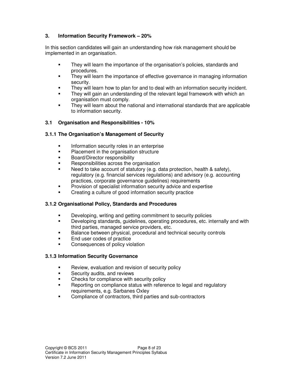# **3. Information Security Framework – 20%**

In this section candidates will gain an understanding how risk management should be implemented in an organisation.

- They will learn the importance of the organisation's policies, standards and procedures.
- They will learn the importance of effective governance in managing information security.
- They will learn how to plan for and to deal with an information security incident.
- They will gain an understanding of the relevant legal framework with which an organisation must comply.
- They will learn about the national and international standards that are applicable to information security.

# **3.1 Organisation and Responsibilities - 10%**

# **3.1.1 The Organisation's Management of Security**

- **Information security roles in an enterprise**
- **Placement in the organisation structure**
- Board/Director responsibility
- Responsibilities across the organisation
- Need to take account of statutory (e.g. data protection, health & safety), regulatory (e.g. financial services regulations) and advisory (e.g. accounting practices, corporate governance guidelines) requirements
- Provision of specialist information security advice and expertise
- Creating a culture of good information security practice

# **3.1.2 Organisational Policy, Standards and Procedures**

- **EXECT** Developing, writing and getting commitment to security policies
- Developing standards, guidelines, operating procedures, etc. internally and with third parties, managed service providers, etc.
- Balance between physical, procedural and technical security controls
- End user codes of practice
- Consequences of policy violation

# **3.1.3 Information Security Governance**

- Review, evaluation and revision of security policy
- **EXECURITY AND INCOCO EXECUTE:** Security audits, and reviews
- Checks for compliance with security policy
- Reporting on compliance status with reference to legal and regulatory requirements, e.g. Sarbanes Oxley
- Compliance of contractors, third parties and sub-contractors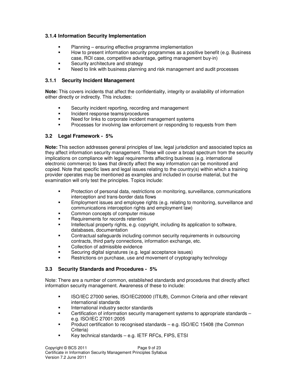# **3.1.4 Information Security Implementation**

- Planning ensuring effective programme implementation
- How to present information security programmes as a positive benefit (e.g. Business case, ROI case, competitive advantage, getting management buy-in)
- Security architecture and strategy
- Need to link with business planning and risk management and audit processes

# **3.1.1 Security Incident Management**

**Note:** This covers incidents that affect the confidentiality, integrity or availability of information either directly or indirectly. This includes:

- Security incident reporting, recording and management
- **Incident response teams/procedures**
- Need for links to corporate incident management systems
- Processes for involving law enforcement or responding to requests from them

# **3.2 Legal Framework - 5%**

**Note:** This section addresses general principles of law, legal jurisdiction and associated topics as they affect information security management. These will cover a broad spectrum from the security implications on compliance with legal requirements affecting business (e.g. international electronic commerce) to laws that directly affect the way information can be monitored and copied. Note that specific laws and legal issues relating to the country(s) within which a training provider operates may be mentioned as examples and included in course material, but the examination will only test the principles. Topics include:

- Protection of personal data, restrictions on monitoring, surveillance, communications interception and trans-border data flows
- Employment issues and employee rights (e.g. relating to monitoring, surveillance and communications interception rights and employment law)
- Common concepts of computer misuse
- Requirements for records retention
- Intellectual property rights, e.g. copyright, including its application to software, databases, documentation
- Contractual safeguards including common security requirements in outsourcing contracts, third party connections, information exchange, etc.
- Collection of admissible evidence
- Securing digital signatures (e.g. legal acceptance issues)
- Restrictions on purchase, use and movement of cryptography technology

# **3.3 Security Standards and Procedures - 5%**

Note: There are a number of common, established standards and procedures that directly affect information security management. Awareness of these to include:

- ISO/IEC 27000 series, ISO/IEC20000 (ITIL<sup>®</sup>), Common Criteria and other relevant international standards
- International industry sector standards
- Certification of information security management systems to appropriate standards e.g. ISO/IEC 27001:2005
- Product certification to recognised standards e.g. ISO/IEC 15408 (the Common Criteria)
- Key technical standards e.g. IETF RFCs, FIPS, ETSI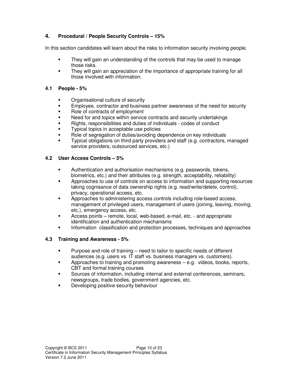# **4. Procedural / People Security Controls – 15%**

In this section candidates will learn about the risks to information security involving people.

- They will gain an understanding of the controls that may be used to manage those risks.
- They will gain an appreciation of the importance of appropriate training for all those involved with information.

# **4.1 People - 5%**

- Organisational culture of security
- Employee, contractor and business partner awareness of the need for security
- Role of contracts of employment
- Need for and topics within service contracts and security undertakings
- Rights, responsibilities and duties of individuals codes of conduct
- Typical topics in acceptable use policies
- Role of segregation of duties/avoiding dependence on key individuals
- Typical obligations on third party providers and staff (e.g. contractors, managed service providers, outsourced services, etc.)

# **4.2 User Access Controls – 5%**

- Authentication and authorisation mechanisms (e.g. passwords, tokens, biometrics, etc.) and their attributes (e.g. strength, acceptability, reliability)
- Approaches to use of controls on access to information and supporting resources taking cognisance of data ownership rights (e.g. read/write/delete, control), privacy, operational access, etc.
- Approaches to administering access controls including role-based access, management of privileged users, management of users (joining, leaving, moving, etc.), emergency access, etc.
- Access points remote, local, web-based, e-mail, etc. and appropriate identification and authentication mechanisms
- Information classification and protection processes, techniques and approaches

# **4.3 Training and Awareness - 5%**

- Purpose and role of training need to tailor to specific needs of different audiences (e.g. users vs. IT staff vs. business managers vs. customers).
- Approaches to training and promoting awareness e.g. videos, books, reports, CBT and formal training courses
- Sources of information, including internal and external conferences, seminars, newsgroups, trade bodies, government agencies, etc.
- Developing positive security behaviour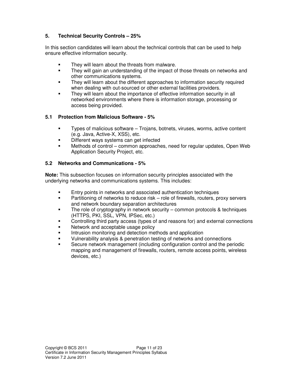# **5. Technical Security Controls – 25%**

In this section candidates will learn about the technical controls that can be used to help ensure effective information security.

- They will learn about the threats from malware.
- They will gain an understanding of the impact of those threats on networks and other communications systems.
- They will learn about the different approaches to information security required when dealing with out-sourced or other external facilities providers.
- They will learn about the importance of effective information security in all networked environments where there is information storage, processing or access being provided.

# **5.1 Protection from Malicious Software - 5%**

- Types of malicious software Trojans, botnets, viruses, worms, active content (e.g. Java, Active-X, XSS), etc.
- Different ways systems can get infected
- Methods of control common approaches, need for regular updates, Open Web Application Security Project, etc.

# **5.2 Networks and Communications - 5%**

**Note:** This subsection focuses on information security principles associated with the underlying networks and communications systems. This includes:

- Entry points in networks and associated authentication techniques
- Partitioning of networks to reduce risk role of firewalls, routers, proxy servers and network boundary separation architectures
- The role of cryptography in network security common protocols & techniques (HTTPS, PKI, SSL, VPN, IPSec, etc.)
- Controlling third party access (types of and reasons for) and external connections
- Network and acceptable usage policy
- Intrusion monitoring and detection methods and application
- Vulnerability analysis & penetration testing of networks and connections
- Secure network management (including configuration control and the periodic mapping and management of firewalls, routers, remote access points, wireless devices, etc.)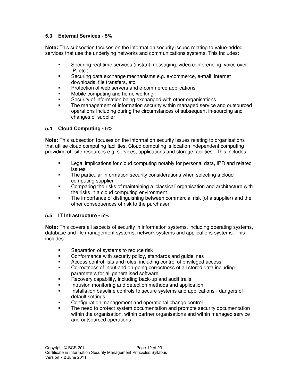# **5.3 External Services - 5%**

**Note:** This subsection focuses on the information security issues relating to value-added services that use the underlying networks and communications systems. This includes:

- Securing real-time services (instant messaging, video conferencing, voice over IP, etc.)
- Securing data exchange mechanisms e.g. e-commerce, e-mail, internet downloads, file transfers, etc.
- Protection of web servers and e-commerce applications
- Mobile computing and home working
- Security of information being exchanged with other organisations
- The management of information security within managed service and outsourced operations including during the circumstances of subsequent in-sourcing and changes of supplier

# **5.4 Cloud Computing - 5%**

**Note:** This subsection focuses on the information security issues relating to organisations that utilise cloud computing facilities. Cloud computing is location independent computing providing off-site resources e.g. services, applications and storage facilities. This includes:

- Legal implications for cloud computing notably for personal data, IPR and related issues
- The particular information security considerations when selecting a cloud computing supplier
- Comparing the risks of maintaining a 'classical' organisation and architecture with the risks in a cloud computing environment
- The importance of distinguishing between commercial risk (of a supplier) and the other consequences of risk to the purchaser.

# **5.5 IT Infrastructure - 5%**

**Note:** This covers all aspects of security in information systems, including operating systems, database and file management systems, network systems and applications systems. This includes:

- Separation of systems to reduce risk
- **EXECONFORMANCE CONFORMANCE With security policy, standards and quidelines**
- Access control lists and roles, including control of privileged access
- Correctness of input and on-going correctness of all stored data including parameters for all generalised software
- Recovery capability, including back-up and audit trails
- Intrusion monitoring and detection methods and application
- Installation baseline controls to secure systems and applications dangers of default settings
- Configuration management and operational change control
- The need to protect system documentation and promote security documentation within the organisation, within partner organisations and within managed service and outsourced operations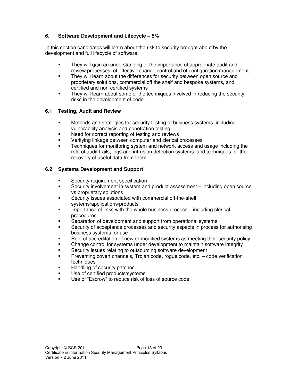# **6. Software Development and Lifecycle – 5%**

In this section candidates will learn about the risk to security brought about by the development and full lifecycle of software.

- They will gain an understanding of the importance of appropriate audit and review processes, of effective change control and of configuration management.
- They will learn about the differences for security between open source and proprietary solutions, commercial off the shelf and bespoke systems, and certified and non-certified systems
- They will learn about some of the techniques involved in reducing the security risks in the development of code.

# **6.1 Testing, Audit and Review**

- Methods and strategies for security testing of business systems, including vulnerability analysis and penetration testing
- Need for correct reporting of testing and reviews
- Verifying linkage between computer and clerical processes
- Techniques for monitoring system and network access and usage including the role of audit trails, logs and intrusion detection systems, and techniques for the recovery of useful data from them

# **6.2 Systems Development and Support**

- Security requirement specification
- Security involvement in system and product assessment including open source vs proprietary solutions
- Security issues associated with commercial off-the-shelf systems/applications/products
- Importance of links with the whole business process including clerical procedures
- Separation of development and support from operational systems
- Security of acceptance processes and security aspects in process for authorising business systems for use
- Role of accreditation of new or modified systems as meeting their security policy
- Change control for systems under development to maintain software integrity
- Security issues relating to outsourcing software development
- Preventing covert channels, Trojan code, rogue code, etc. code verification techniques
- Handling of security patches
- Use of certified products/systems
- Use of "Escrow" to reduce risk of loss of source code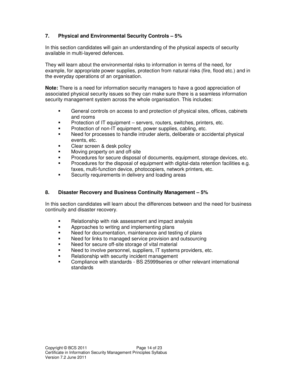# **7. Physical and Environmental Security Controls – 5%**

In this section candidates will gain an understanding of the physical aspects of security available in multi-layered defences.

They will learn about the environmental risks to information in terms of the need, for example, for appropriate power supplies, protection from natural risks (fire, flood etc.) and in the everyday operations of an organisation.

**Note:** There is a need for information security managers to have a good appreciation of associated physical security issues so they can make sure there is a seamless information security management system across the whole organisation. This includes:

- General controls on access to and protection of physical sites, offices, cabinets and rooms
- Protection of IT equipment servers, routers, switches, printers, etc.
- Protection of non-IT equipment, power supplies, cabling, etc.
- Need for processes to handle intruder alerts, deliberate or accidental physical events, etc.
- Clear screen & desk policy
- Moving property on and off-site
- Procedures for secure disposal of documents, equipment, storage devices, etc.
- Procedures for the disposal of equipment with digital-data retention facilities e.g. faxes, multi-function device, photocopiers, network printers, etc.
- Security requirements in delivery and loading areas

# **8. Disaster Recovery and Business Continuity Management – 5%**

In this section candidates will learn about the differences between and the need for business continuity and disaster recovery.

- Relationship with risk assessment and impact analysis
- Approaches to writing and implementing plans
- Need for documentation, maintenance and testing of plans
- Need for links to managed service provision and outsourcing
- Need for secure off-site storage of vital material
- Need to involve personnel, suppliers, IT systems providers, etc.
- Relationship with security incident management
- Compliance with standards BS 25999series or other relevant international standards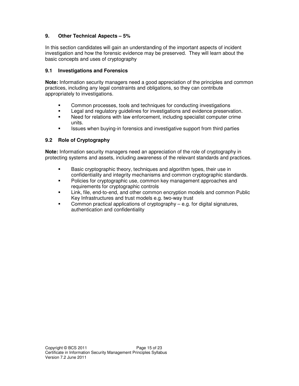# **9. Other Technical Aspects – 5%**

In this section candidates will gain an understanding of the important aspects of incident investigation and how the forensic evidence may be preserved. They will learn about the basic concepts and uses of cryptography

#### **9.1 Investigations and Forensics**

**Note:** Information security managers need a good appreciation of the principles and common practices, including any legal constraints and obligations, so they can contribute appropriately to investigations.

- Common processes, tools and techniques for conducting investigations
- **EXECTE Legal and regulatory quidelines for investigations and evidence preservation.**
- Need for relations with law enforcement, including specialist computer crime units.
- Issues when buying-in forensics and investigative support from third parties

# **9.2 Role of Cryptography**

**Note:** Information security managers need an appreciation of the role of cryptography in protecting systems and assets, including awareness of the relevant standards and practices.

- **Basic cryptographic theory, techniques and algorithm types, their use in** confidentiality and integrity mechanisms and common cryptographic standards.
- Policies for cryptographic use, common key management approaches and requirements for cryptographic controls
- Link, file, end-to-end, and other common encryption models and common Public Key Infrastructures and trust models e.g. two-way trust
- Common practical applications of cryptography e.g. for digital signatures, authentication and confidentiality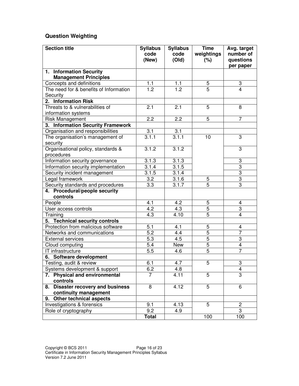# **Question Weighting**

| <b>Section title</b>                                                     | <b>Syllabus</b><br>code<br>(New) | <b>Syllabus</b><br>code<br>(Old) | <b>Time</b><br>weightings<br>(%) | Avg. target<br>number of<br>questions     |
|--------------------------------------------------------------------------|----------------------------------|----------------------------------|----------------------------------|-------------------------------------------|
|                                                                          |                                  |                                  |                                  | per paper                                 |
| 1. Information Security                                                  |                                  |                                  |                                  |                                           |
| <b>Management Principles</b><br>Concepts and definitions                 |                                  |                                  |                                  |                                           |
| The need for & benefits of Information                                   | 1.1<br>$\overline{1.2}$          | 1.1<br>$\overline{1.2}$          | $\overline{5}$<br>$\overline{5}$ | $\boldsymbol{3}$<br>4                     |
| Security                                                                 |                                  |                                  |                                  |                                           |
| 2. Information Risk                                                      |                                  |                                  |                                  |                                           |
| Threats to & vulnerabilities of                                          | 2.1                              | 2.1                              | 5                                | 8                                         |
| information systems                                                      |                                  |                                  |                                  |                                           |
| <b>Risk Management</b>                                                   | $\overline{2.2}$                 | 2.2                              | $\overline{5}$                   | $\overline{7}$                            |
| 3. Information Security Framework                                        |                                  |                                  |                                  |                                           |
| Organisation and responsibilities                                        | $\overline{3.1}$                 | 3.1                              |                                  |                                           |
| The organisation's management of                                         | 3.1.1                            | 3.1.1                            | 10                               | 3                                         |
| security                                                                 |                                  |                                  |                                  |                                           |
| Organisational policy, standards &                                       | 3.1.2                            | 3.1.2                            |                                  | 3                                         |
| procedures                                                               |                                  |                                  |                                  |                                           |
| Information security governance                                          | 3.1.3                            | 3.1.3                            |                                  | $\boldsymbol{3}$                          |
| Information security implementation                                      | 3.1.4                            | 3.1.5                            |                                  | $\overline{3}$                            |
| Security incident management                                             | 3.1.5                            | 3.1.4                            |                                  | $\overline{3}$                            |
| Legal framework                                                          | 3.2                              | 3.1.6                            | 5                                | $\overline{3}$                            |
| Security standards and procedures                                        | $3.\overline{3}$                 | 3.1.7                            | $\overline{5}$                   | $\overline{3}$                            |
| 4. Procedural/people security                                            |                                  |                                  |                                  |                                           |
| controls                                                                 |                                  |                                  |                                  |                                           |
| People                                                                   | 4.1                              | 4.2                              | 5                                | 4                                         |
| User access controls                                                     | 4.2                              | 4.3                              | 5                                | 3                                         |
| Training                                                                 | 4.3                              | 4.10                             | $\overline{5}$                   | 4                                         |
| 5. Technical security controls                                           |                                  |                                  |                                  |                                           |
| Protection from malicious software                                       | 5.1                              | 4.1                              | 5                                | $\overline{\mathbf{4}}$                   |
| Networks and communications                                              | $\overline{5.2}$                 | 4.4                              | 5                                | $\overline{7}$                            |
| <b>External services</b>                                                 | 5.3                              | 4.5                              | 5                                | 3                                         |
| Cloud computing                                                          | 5.4                              | <b>New</b>                       | $\overline{5}$                   | $\overline{\mathbf{4}}$<br>$\overline{7}$ |
| $\overline{IT}$ infrastructure                                           | 5.5                              | 4.6                              | 5                                |                                           |
| 6. Software development<br>Testing, audit & review                       | 6.1                              | 4.7                              | 5                                |                                           |
|                                                                          | 6.2                              | 4.8                              |                                  | $\overline{3}$<br>$\overline{4}$          |
| Systems development & support<br><b>Physical and environmental</b><br>7. | $\overline{7}$                   | 4.11                             | 5                                | $\overline{3}$                            |
| controls                                                                 |                                  |                                  |                                  |                                           |
| <b>Disaster recovery and business</b><br>8.<br>continuity management     | 8                                | 4.12                             | $\overline{5}$                   | 6                                         |
| Other technical aspects<br>9.                                            |                                  |                                  |                                  |                                           |
| Investigations & forensics                                               | 9.1                              | 4.13                             | 5                                | $\overline{2}$                            |
| Role of cryptography                                                     | 9.2                              | 4.9                              |                                  | 3                                         |
|                                                                          | Total                            |                                  | 100                              | 100                                       |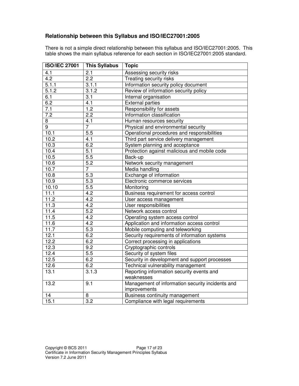# **Relationship between this Syllabus and ISO/IEC27001:2005**

There is not a simple direct relationship between this syllabus and ISO/IEC27001:2005. This table shows the main syllabus reference for each section in ISO/IEC27001:2005 standard.

| <b>ISO/IEC 27001</b> | <b>This Syllabus</b> | <b>Topic</b>                                     |
|----------------------|----------------------|--------------------------------------------------|
| 4.1                  | 2.1                  | Assessing security risks                         |
| 4.2                  | $\overline{2.2}$     | Treating security risks                          |
| 5.1.1                | 3.1.1                | Information security policy document             |
| 5.1.2                | 3.1.2                | Review of information security policy            |
| 6.1                  | 3.1                  | Internal organisation                            |
| 6.2                  | 4.1                  | <b>External parties</b>                          |
| 7.1                  | 1.2                  | Responsibility for assets                        |
| $\overline{7.2}$     | 2.2                  | Information classification                       |
| 8                    | 4.1                  | Human resources security                         |
| $\overline{9}$       | $\overline{7}$       | Physical and environmental security              |
| 10.1                 | 5.5                  | Operational procedures and responsibilities      |
| 10.2                 | 4.1                  | Third part service delivery management           |
| 10.3                 | 6.2                  | System planning and acceptance                   |
| 10.4                 | 5.1                  | Protection against malicious and mobile code     |
| 10.5                 | 5.5                  | Back-up                                          |
| 10.6                 | $\overline{5.2}$     | Network security management                      |
| 10.7                 | $\overline{7}$       | Media handling                                   |
| 10.8                 | $\overline{5.3}$     | Exchange of information                          |
| 10.9                 | 5.3                  | Electronic commerce services                     |
| 10.10                | $\overline{5.5}$     | Monitoring                                       |
| 11.1                 | 4.2                  | Business requirement for access control          |
| 11.2                 | 4.2                  | User access management                           |
| 11.3                 | 4.2                  | User responsibilities                            |
| 11.4                 | 5.2                  | Network access control                           |
| $11.\overline{5}$    | $4.\overline{2}$     | Operating system access control                  |
| 11.6                 | 4.2                  | Application and information access control       |
| 11.7                 | 5.3                  | Mobile computing and teleworking                 |
| 12.1                 | 6.2                  | Security requirements of information systems     |
| 12.2                 | 6.2                  | Correct processing in applications               |
| 12.3                 | 9.2                  | Cryptographic controls                           |
| 12.4                 | 5.5                  | Security of system files                         |
| 12.5                 | 6.2                  | Security in development and support processes    |
| 12.6                 | 6.2                  | Technical vulnerability management               |
| 13.1                 | 3.1.3                | Reporting information security events and        |
|                      |                      | weaknesses                                       |
| 13.2                 | 9.1                  | Management of information security incidents and |
|                      |                      | improvements                                     |
| 14                   | 8                    | Business continuity management                   |
| 15.1                 | 3.2                  | Compliance with legal requirements               |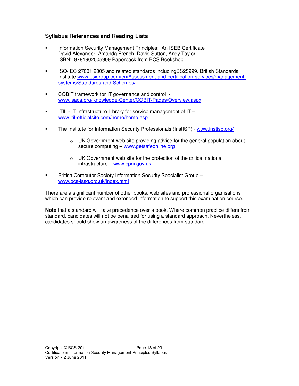# **Syllabus References and Reading Lists**

- Information Security Management Principles: An ISEB Certificate David Alexander, Amanda French, David Sutton, Andy Taylor ISBN: 9781902505909 Paperback from BCS Bookshop
- ISO/IEC 27001:2005 and related standards includingBS25999. British Standards Institute www.bsigroup.com/en/Assessment-and-certification-services/managementsystems/Standards-and-Schemes/
- COBIT framework for IT governance and control www.isaca.org/Knowledge-Center/COBIT/Pages/Overview.aspx
- ITIL IT Infrastructure Library for service management of IT www.itil-officialsite.com/home/home.asp
- The Institute for Information Security Professionals (InstISP) www.instisp.org/
	- $\circ$  UK Government web site providing advice for the general population about secure computing – www.getsafeonline.org
	- o UK Government web site for the protection of the critical national infrastructure – www.cpni.gov.uk
- **British Computer Society Information Security Specialist Group** www.bcs-issg.org.uk/index.html

There are a significant number of other books, web sites and professional organisations which can provide relevant and extended information to support this examination course.

**Note** that a standard will take precedence over a book. Where common practice differs from standard, candidates will not be penalised for using a standard approach. Nevertheless, candidates should show an awareness of the differences from standard.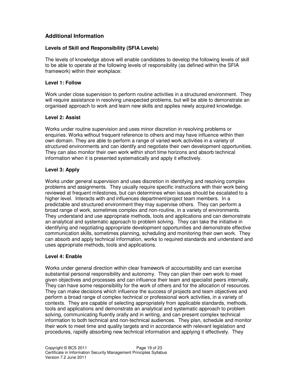# **Additional Information**

# **Levels of Skill and Responsibility (SFIA Levels)**

The levels of knowledge above will enable candidates to develop the following levels of skill to be able to operate at the following levels of responsibility (as defined within the SFIA framework) within their workplace:

# **Level 1: Follow**

Work under close supervision to perform routine activities in a structured environment. They will require assistance in resolving unexpected problems, but will be able to demonstrate an organised approach to work and learn new skills and applies newly acquired knowledge.

# **Level 2: Assist**

Works under routine supervision and uses minor discretion in resolving problems or enquiries. Works without frequent reference to others and may have influence within their own domain. They are able to perform a range of varied work activities in a variety of structured environments and can identify and negotiate their own development opportunities. They can also monitor their own work within short time horizons and absorb technical information when it is presented systematically and apply it effectively.

# **Level 3: Apply**

Works under general supervision and uses discretion in identifying and resolving complex problems and assignments. They usually require specific instructions with their work being reviewed at frequent milestones, but can determines when issues should be escalated to a higher level. Interacts with and influences department/project team members. In a predictable and structured environment they may supervise others. They can perform a broad range of work, sometimes complex and non-routine, in a variety of environments. They understand and use appropriate methods, tools and applications and can demonstrate an analytical and systematic approach to problem solving. They can take the initiative in identifying and negotiating appropriate development opportunities and demonstrate effective communication skills, sometimes planning, scheduling and monitoring their own work. They can absorb and apply technical information, works to required standards and understand and uses appropriate methods, tools and applications.

# **Level 4: Enable**

Works under general direction within clear framework of accountability and can exercise substantial personal responsibility and autonomy. They can plan their own work to meet given objectives and processes and can influence their team and specialist peers internally. They can have some responsibility for the work of others and for the allocation of resources. They can make decisions which influence the success of projects and team objectives and perform a broad range of complex technical or professional work activities, in a variety of contexts. They are capable of selecting appropriately from applicable standards, methods, tools and applications and demonstrate an analytical and systematic approach to problem solving, communicating fluently orally and in writing, and can present complex technical information to both technical and non-technical audiences. They plan, schedule and monitor their work to meet time and quality targets and in accordance with relevant legislation and procedures, rapidly absorbing new technical information and applying it effectively. They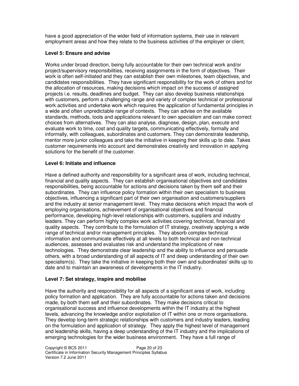have a good appreciation of the wider field of information systems, their use in relevant employment areas and how they relate to the business activities of the employer or client.

#### **Level 5: Ensure and advise**

Works under broad direction, being fully accountable for their own technical work and/or project/supervisory responsibilities, receiving assignments in the form of objectives. Their work is often self-initiated and they can establish their own milestones, team objectives, and candidates responsibilities. They have significant responsibility for the work of others and for the allocation of resources, making decisions which impact on the success of assigned projects i.e. results, deadlines and budget. They can also develop business relationships with customers, perform a challenging range and variety of complex technical or professional work activities and undertake work which requires the application of fundamental principles in a wide and often unpredictable range of contexts. They can advise on the available standards, methods, tools and applications relevant to own specialism and can make correct choices from alternatives. They can also analyse, diagnose, design, plan, execute and evaluate work to time, cost and quality targets, communicating effectively, formally and informally, with colleagues, subordinates and customers. They can demonstrate leadership, mentor more junior colleagues and take the initiative in keeping their skills up to date. Takes customer requirements into account and demonstrates creativity and innovation in applying solutions for the benefit of the customer.

#### **Level 6: Initiate and influence**

Have a defined authority and responsibility for a significant area of work, including technical, financial and quality aspects. They can establish organisational objectives and candidates responsibilities, being accountable for actions and decisions taken by them self and their subordinates. They can influence policy formation within their own specialism to business objectives, influencing a significant part of their own organisation and customers/suppliers and the industry at senior management level. They make decisions which impact the work of employing organisations, achievement of organisational objectives and financial performance, developing high-level relationships with customers, suppliers and industry leaders. They can perform highly complex work activities covering technical, financial and quality aspects. They contribute to the formulation of IT strategy, creatively applying a wide range of technical and/or management principles. They absorb complex technical information and communicate effectively at all levels to both technical and non-technical audiences, assesses and evaluates risk and understand the implications of new technologies. They demonstrate clear leadership and the ability to influence and persuade others, with a broad understanding of all aspects of IT and deep understanding of their own specialism(s). They take the initiative in keeping both their own and subordinates' skills up to date and to maintain an awareness of developments in the IT industry.

# **Level 7: Set strategy, inspire and mobilise**

Have the authority and responsibility for all aspects of a significant area of work, including policy formation and application. They are fully accountable for actions taken and decisions made, by both them self and their subordinates. They make decisions critical to organisational success and influence developments within the IT industry at the highest levels, advancing the knowledge and/or exploitation of IT within one or more organisations. They develop long-term strategic relationships with customers and industry leaders, leading on the formulation and application of strategy. They apply the highest level of management and leadership skills, having a deep understanding of the IT industry and the implications of emerging technologies for the wider business environment. They have a full range of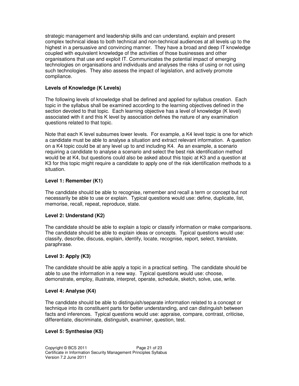strategic management and leadership skills and can understand, explain and present complex technical ideas to both technical and non-technical audiences at all levels up to the highest in a persuasive and convincing manner. They have a broad and deep IT knowledge coupled with equivalent knowledge of the activities of those businesses and other organisations that use and exploit IT. Communicates the potential impact of emerging technologies on organisations and individuals and analyses the risks of using or not using such technologies. They also assess the impact of legislation, and actively promote compliance.

# **Levels of Knowledge (K Levels)**

The following levels of knowledge shall be defined and applied for syllabus creation. Each topic in the syllabus shall be examined according to the learning objectives defined in the section devoted to that topic. Each learning objective has a level of knowledge (K level) associated with it and this K level by association defines the nature of any examination questions related to that topic.

Note that each K level subsumes lower levels. For example, a K4 level topic is one for which a candidate must be able to analyse a situation and extract relevant information. A question on a K4 topic could be at any level up to and including K4. As an example, a scenario requiring a candidate to analyse a scenario and select the best risk identification method would be at K4, but questions could also be asked about this topic at K3 and a question at K3 for this topic might require a candidate to apply one of the risk identification methods to a situation.

# **Level 1: Remember (K1)**

The candidate should be able to recognise, remember and recall a term or concept but not necessarily be able to use or explain. Typical questions would use: define, duplicate, list, memorise, recall, repeat, reproduce, state.

# **Level 2: Understand (K2)**

The candidate should be able to explain a topic or classify information or make comparisons. The candidate should be able to explain ideas or concepts. Typical questions would use: classify, describe, discuss, explain, identify, locate, recognise, report, select, translate, paraphrase.

# **Level 3: Apply (K3)**

The candidate should be able apply a topic in a practical setting. The candidate should be able to use the information in a new way. Typical questions would use: choose, demonstrate, employ, illustrate, interpret, operate, schedule, sketch, solve, use, write.

#### **Level 4: Analyse (K4)**

The candidate should be able to distinguish/separate information related to a concept or technique into its constituent parts for better understanding, and can distinguish between facts and inferences. Typical questions would use: appraise, compare, contrast, criticise, differentiate, discriminate, distinguish, examiner, question, test.

# **Level 5: Synthesise (K5)**

Copyright © BCS 2011 Certificate in Information Security Management Principles Syllabus Version 7.2 June 2011 Page 21 of 23